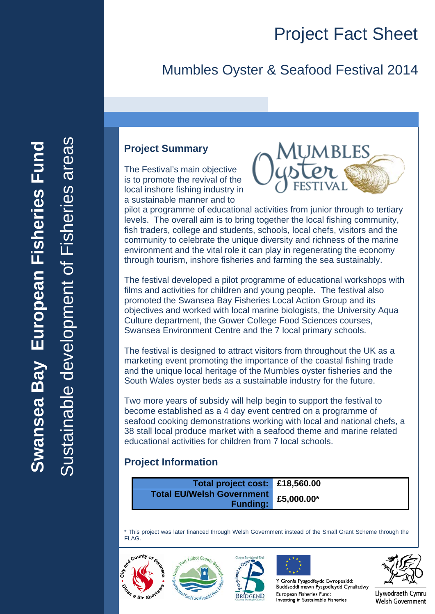## Mumbles Oyster & Seafood Festival 2014

#### **Project Summary**

The Festival's main objective is to promote the revival of the local inshore fishing industry in a sustainable manner and to



pilot a programme of educational activities from junior through to tertiary levels. The overall aim is to bring together the local fishing community, fish traders, college and students, schools, local chefs, visitors and the community to celebrate the unique diversity and richness of the marine environment and the vital role it can play in regenerating the economy through tourism, inshore fisheries and farming the sea sustainably.

The festival developed a pilot programme of educational workshops with films and activities for children and young people. The festival also promoted the Swansea Bay Fisheries Local Action Group and its objectives and worked with local marine biologists, the University Aqua Culture department, the Gower College Food Sciences courses, Swansea Environment Centre and the 7 local primary schools.

The festival is designed to attract visitors from throughout the UK as a marketing event promoting the importance of the coastal fishing trade and the unique local heritage of the Mumbles oyster fisheries and the South Wales oyster beds as a sustainable industry for the future.

Two more years of subsidy will help begin to support the festival to become established as a 4 day event centred on a programme of seafood cooking demonstrations working with local and national chefs, a 38 stall local produce market with a seafood theme and marine related educational activities for children from 7 local schools.

#### **Project Information**

| Total project cost: £18,560.00       |  |
|--------------------------------------|--|
| Total EU/Welsh Government £5,000.00* |  |
| <b>Funding:</b>                      |  |

\* This project was later financed through Welsh Government instead of the Small Grant Scheme through the FLAG.







Y Gronfa Pysgodfeydd Ewropeaidd: Buddsoddi mewn Pysgodfeydd Cynaliadwy European Fisheries Fund: Investing in Sustainable Fisheries

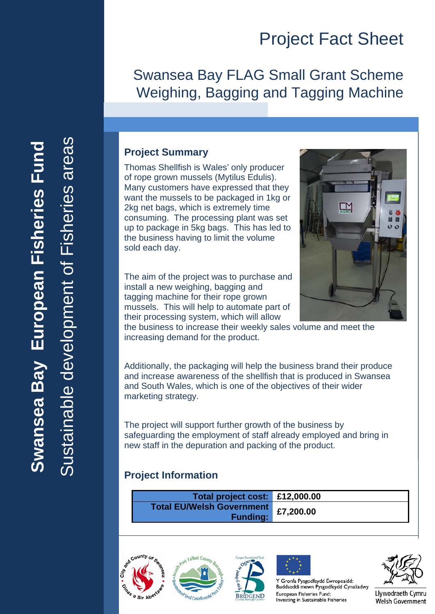## Swansea Bay FLAG Small Grant Scheme Weighing, Bagging and Tagging Machine

#### **Project Summary**

Thomas Shellfish is Wales' only producer of rope grown mussels (Mytilus Edulis). Many customers have expressed that they want the mussels to be packaged in 1kg or 2kg net bags, which is extremely time consuming. The processing plant was set up to package in 5kg bags. This has led to the business having to limit the volume sold each day.

The aim of the project was to purchase and install a new weighing, bagging and tagging machine for their rope grown mussels. This will help to automate part of their processing system, which will allow



the business to increase their weekly sales volume and meet the increasing demand for the product.

Additionally, the packaging will help the business brand their produce and increase awareness of the shellfish that is produced in Swansea and South Wales, which is one of the objectives of their wider marketing strategy.

The project will support further growth of the business by safeguarding the employment of staff already employed and bring in new staff in the depuration and packing of the product.

#### **Project Information**

| Total project cost: £12,000.00                      |           |
|-----------------------------------------------------|-----------|
| <b>Total EU/Welsh Government</b><br><b>Funding:</b> | £7,200.00 |









Y Gronfa Pysgodfeydd Ewropeaidd: Buddsoddi mewn Pysgodfeydd Cynaliadwy European Fisheries Fund: Investing in Sustainable Fisheries

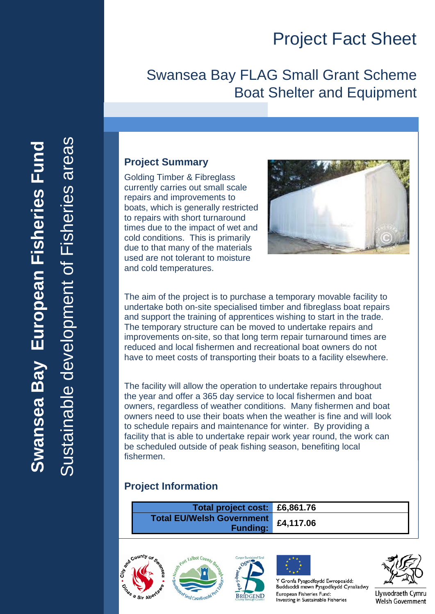## Swansea Bay FLAG Small Grant Scheme Boat Shelter and Equipment

#### **Project Summary**

Golding Timber & Fibreglass currently carries out small scale repairs and improvements to boats, which is generally restricted to repairs with short turnaround times due to the impact of wet and cold conditions. This is primarily due to that many of the materials used are not tolerant to moisture and cold temperatures.



The aim of the project is to purchase a temporary movable facility to undertake both on-site specialised timber and fibreglass boat repairs and support the training of apprentices wishing to start in the trade. The temporary structure can be moved to undertake repairs and improvements on-site, so that long term repair turnaround times are reduced and local fishermen and recreational boat owners do not have to meet costs of transporting their boats to a facility elsewhere.

The facility will allow the operation to undertake repairs throughout the year and offer a 365 day service to local fishermen and boat owners, regardless of weather conditions. Many fishermen and boat owners need to use their boats when the weather is fine and will look to schedule repairs and maintenance for winter. By providing a facility that is able to undertake repair work year round, the work can be scheduled outside of peak fishing season, benefiting local fishermen.

#### **Project Information**

| Total project cost: £6,861.76                       |           |
|-----------------------------------------------------|-----------|
| <b>Total EU/Welsh Government</b><br><b>Funding:</b> | £4,117.06 |









Y Gronfa Pysgodfeydd Ewropeaidd: Buddsoddi mewn Pysgodfeydd Cynaliadwy European Fisheries Fund: Investing in Sustainable Fisheries



Llywodraeth Cymru Welsh Government

Sustainable development of Fisheries areas Sustainable development of Fisheries areasSwansea Bay European Fisheries Fund **Swansea Bay European Fisheries Fund**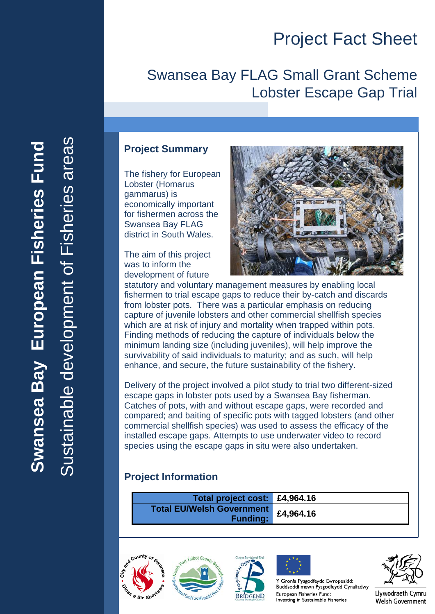## Swansea Bay FLAG Small Grant Scheme Lobster Escape Gap Trial

#### **Project Summary**

The fishery for European Lobster (Homarus gammarus) is economically important for fishermen across the Swansea Bay FLAG district in South Wales.

The aim of this project was to inform the development of future



statutory and voluntary management measures by enabling local fishermen to trial escape gaps to reduce their by-catch and discards from lobster pots. There was a particular emphasis on reducing capture of juvenile lobsters and other commercial shellfish species which are at risk of injury and mortality when trapped within pots. Finding methods of reducing the capture of individuals below the minimum landing size (including juveniles), will help improve the survivability of said individuals to maturity; and as such, will help enhance, and secure, the future sustainability of the fishery.

Delivery of the project involved a pilot study to trial two different-sized escape gaps in lobster pots used by a Swansea Bay fisherman. Catches of pots, with and without escape gaps, were recorded and compared; and baiting of specific pots with tagged lobsters (and other commercial shellfish species) was used to assess the efficacy of the installed escape gaps. Attempts to use underwater video to record species using the escape gaps in situ were also undertaken.

#### **Project Information**

| Total project cost: £4,964.16                       |           |
|-----------------------------------------------------|-----------|
| <b>Total EU/Welsh Government</b><br><b>Funding:</b> | £4,964.16 |









Y Gronfa Pysgodfeydd Ewropeaidd: Buddsoddi mewn Pysgodfeydd Cynaliadwy European Fisheries Fund: Investing in Sustainable Fisheries



Llywodraeth Cymru Welsh Government

Sustainable development of Fisheries areas Sustainable development of Fisheries areasSwansea Bay European Fisheries Fund **Swansea Bay European Fisheries Fund**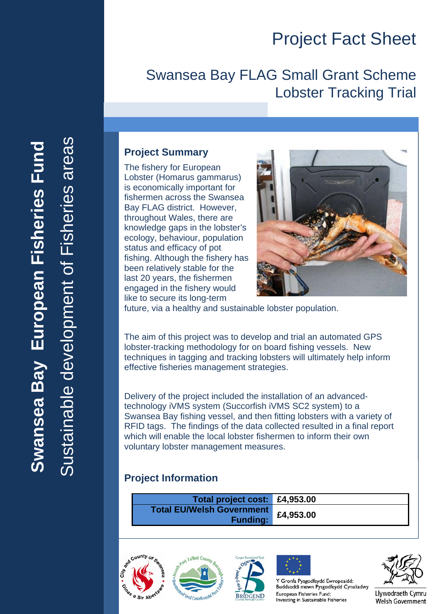## Swansea Bay FLAG Small Grant Scheme Lobster Tracking Trial

#### **Project Summary**

The fishery for European Lobster (Homarus gammarus) is economically important for fishermen across the Swansea Bay FLAG district. However, throughout Wales, there are knowledge gaps in the lobster's ecology, behaviour, population status and efficacy of pot fishing. Although the fishery has been relatively stable for the last 20 years, the fishermen engaged in the fishery would like to secure its long-term



future, via a healthy and sustainable lobster population.

The aim of this project was to develop and trial an automated GPS lobster-tracking methodology for on board fishing vessels. New techniques in tagging and tracking lobsters will ultimately help inform effective fisheries management strategies.

Delivery of the project included the installation of an advancedtechnology iVMS system (Succorfish iVMS SC2 system) to a Swansea Bay fishing vessel, and then fitting lobsters with a variety of RFID tags. The findings of the data collected resulted in a final report which will enable the local lobster fishermen to inform their own voluntary lobster management measures.

#### **Project Information**

| Total project cost: £4,953.00                       |           |
|-----------------------------------------------------|-----------|
| <b>Total EU/Welsh Government</b><br><b>Funding:</b> | £4,953.00 |









Y Gronfa Pysgodfeydd Ewropeaidd: Buddsoddi mewn Pysgodfeydd Cynaliadwy European Fisheries Fund: Investing in Sustainable Fisheries

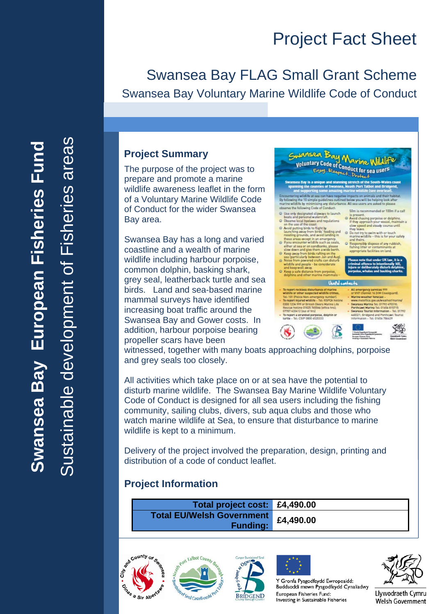## Swansea Bay FLAG Small Grant Scheme Swansea Bay Voluntary Marine Wildlife Code of Conduct

#### **Project Summary**

The purpose of the project was to prepare and promote a marine wildlife awareness leaflet in the form of a Voluntary Marine Wildlife Code of Conduct for the wider Swansea Bay area.

Swansea Bay has a long and varied coastline and a wealth of marine wildlife including harbour porpoise, common dolphin, basking shark, grey seal, leatherback turtle and sea birds. Land and sea-based marine mammal surveys have identified increasing boat traffic around the Swansea Bay and Gower costs. In addition, harbour porpoise bearing propeller scars have been



witnessed, together with many boats approaching dolphins, porpoise and grey seals too closely.

All activities which take place on or at sea have the potential to disturb marine wildlife. The Swansea Bay Marine Wildlife Voluntary Code of Conduct is designed for all sea users including the fishing community, sailing clubs, divers, sub aqua clubs and those who watch marine wildlife at Sea, to ensure that disturbance to marine wildlife is kept to a minimum.

Delivery of the project involved the preparation, design, printing and distribution of a code of conduct leaflet.

#### **Project Information**

| Total project cost: £4,490.00                          |  |
|--------------------------------------------------------|--|
| Total EU/Welsh Government £4,490.00<br><b>Funding:</b> |  |









Y Gronfa Pysgodfeydd Ewropeaidd: Buddsoddi mewn Pysgodfeydd Cynaliadwy European Fisheries Fund: Investing in Sustainable Fisheries



Llywodraeth Cymru Welsh Government

Sustainable development of Fisheries areasareas Swansea Bay European Fisheries Fund **Swansea Bay European Fisheries Fund Fisheries** nable development of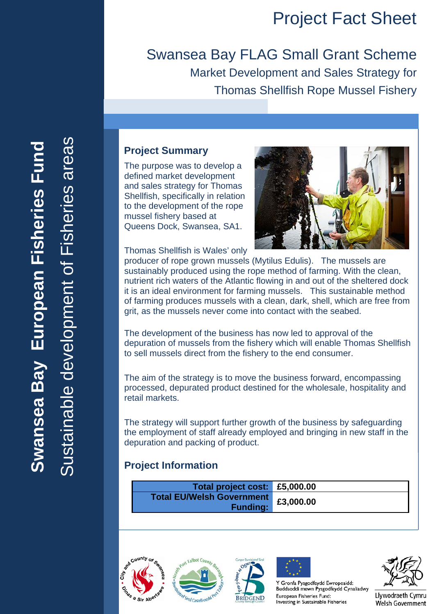Swansea Bay FLAG Small Grant Scheme Market Development and Sales Strategy for Thomas Shellfish Rope Mussel Fishery

#### **Project Summary**

The purpose was to develop a defined market development and sales strategy for Thomas Shellfish, specifically in relation to the development of the rope mussel fishery based at Queens Dock, Swansea, SA1.

Thomas Shellfish is Wales' only



producer of rope grown mussels (Mytilus Edulis). The mussels are sustainably produced using the rope method of farming. With the clean, nutrient rich waters of the Atlantic flowing in and out of the sheltered dock it is an ideal environment for farming mussels. This sustainable method of farming produces mussels with a clean, dark, shell, which are free from grit, as the mussels never come into contact with the seabed.

The development of the business has now led to approval of the depuration of mussels from the fishery which will enable Thomas Shellfish to sell mussels direct from the fishery to the end consumer.

The aim of the strategy is to move the business forward, encompassing processed, depurated product destined for the wholesale, hospitality and retail markets.

The strategy will support further growth of the business by safeguarding the employment of staff already employed and bringing in new staff in the depuration and packing of product.

#### **Project Information**

| Total project cost: £5,000.00                       |           |
|-----------------------------------------------------|-----------|
| <b>Total EU/Welsh Government</b><br><b>Funding:</b> | £3,000.00 |











Y Gronfa Pysgodfeydd Ewropeaidd: Buddsoddi mewn Pysgodfeydd Cynaliadwy European Fisheries Fund: Investing in Sustainable Fisheries



Llywodraeth Cymru **Welsh Government** 

stainable development of Fisheries areas Sustainable development of Fisheries areasSwansea Bay European Fisheries Fund **Swansea Bay European Fisheries Fund**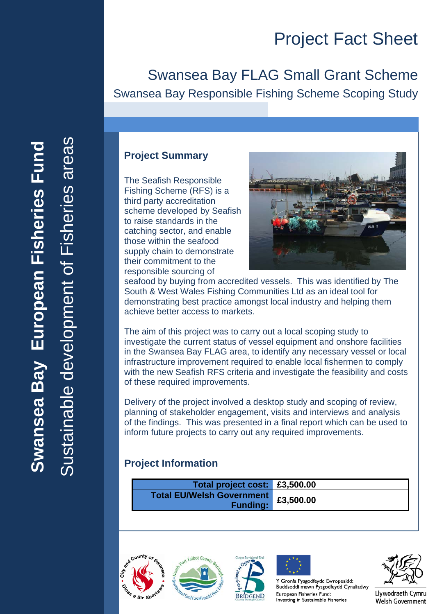## Swansea Bay FLAG Small Grant Scheme Swansea Bay Responsible Fishing Scheme Scoping Study

#### **Project Summary**

The Seafish Responsible Fishing Scheme (RFS) is a third party accreditation scheme developed by Seafish to raise standards in the catching sector, and enable those within the seafood supply chain to demonstrate their commitment to the responsible sourcing of



seafood by buying from accredited vessels. This was identified by The South & West Wales Fishing Communities Ltd as an ideal tool for demonstrating best practice amongst local industry and helping them achieve better access to markets.

The aim of this project was to carry out a local scoping study to investigate the current status of vessel equipment and onshore facilities in the Swansea Bay FLAG area, to identify any necessary vessel or local infrastructure improvement required to enable local fishermen to comply with the new Seafish RFS criteria and investigate the feasibility and costs of these required improvements.

Delivery of the project involved a desktop study and scoping of review, planning of stakeholder engagement, visits and interviews and analysis of the findings. This was presented in a final report which can be used to inform future projects to carry out any required improvements.

#### **Project Information**

| Total project cost: £3,500.00                       |           |
|-----------------------------------------------------|-----------|
| <b>Total EU/Welsh Government</b><br><b>Funding:</b> | £3,500.00 |









Y Gronfa Pysgodfeydd Ewropeaidd: Buddsoddi mewn Pysgodfeydd Cynaliadwy European Fisheries Fund: Investing in Sustainable Fisheries



Llywodraeth Cymru Welsh Government

nable development of Fisheries areas Sustainable development of Fisheries areasSwansea Bay European Fisheries Fund **Swansea Bay European Fisheries Fund**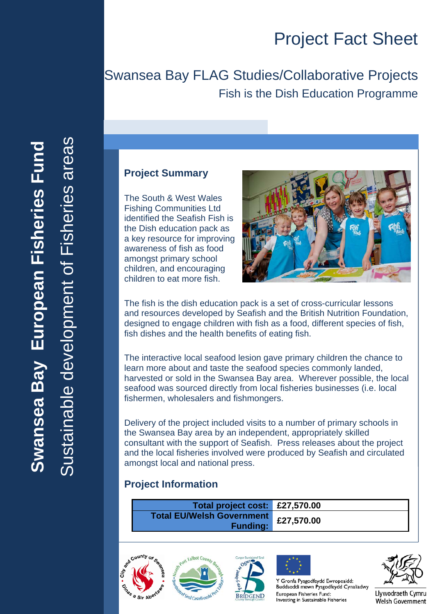## Swansea Bay FLAG Studies/Collaborative Projects Fish is the Dish Education Programme

#### **Project Summary**

The South & West Wales Fishing Communities Ltd identified the Seafish Fish is the Dish education pack as a key resource for improving awareness of fish as food amongst primary school children, and encouraging children to eat more fish.



The fish is the dish education pack is a set of cross-curricular lessons and resources developed by Seafish and the British Nutrition Foundation, designed to engage children with fish as a food, different species of fish, fish dishes and the health benefits of eating fish.

The interactive local seafood lesion gave primary children the chance to learn more about and taste the seafood species commonly landed, harvested or sold in the Swansea Bay area. Wherever possible, the local seafood was sourced directly from local fisheries businesses (i.e. local fishermen, wholesalers and fishmongers.

Delivery of the project included visits to a number of primary schools in the Swansea Bay area by an independent, appropriately skilled consultant with the support of Seafish. Press releases about the project and the local fisheries involved were produced by Seafish and circulated amongst local and national press.

#### **Project Information**

**Total project cost: £27,570.00 Total EU/Welsh Government Funding: £27,570.00**









Y Gronfa Pysgodfeydd Ewropeaidd: Buddsoddi mewn Pysgodfeydd Cynaliadwy European Fisheries Fund: Investing in Sustainable Fisheries



Llywodraeth Cymru Welsh Government

ustainable development of Fisheries areas Sustainable development of Fisheries areasSwansea Bay European Fisheries Fund **Swansea Bay European Fisheries Fund**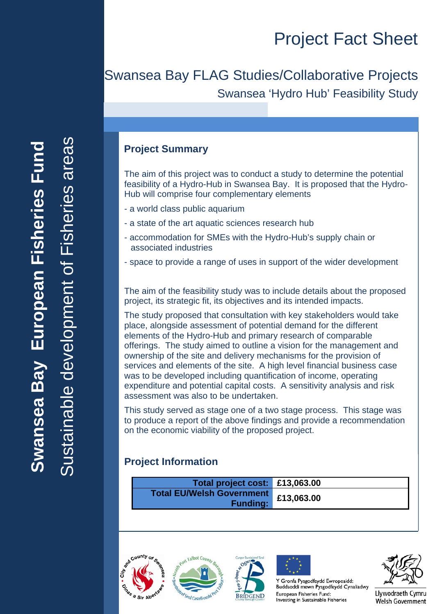## Swansea Bay FLAG Studies/Collaborative Projects Swansea 'Hydro Hub' Feasibility Study

#### **Project Summary**

The aim of this project was to conduct a study to determine the potential feasibility of a Hydro-Hub in Swansea Bay. It is proposed that the Hydro-Hub will comprise four complementary elements

- a world class public aquarium
- a state of the art aquatic sciences research hub
- accommodation for SMEs with the Hydro-Hub's supply chain or associated industries
- space to provide a range of uses in support of the wider development

The aim of the feasibility study was to include details about the proposed project, its strategic fit, its objectives and its intended impacts.

The study proposed that consultation with key stakeholders would take place, alongside assessment of potential demand for the different elements of the Hydro-Hub and primary research of comparable offerings. The study aimed to outline a vision for the management and ownership of the site and delivery mechanisms for the provision of services and elements of the site. A high level financial business case was to be developed including quantification of income, operating expenditure and potential capital costs. A sensitivity analysis and risk assessment was also to be undertaken.

This study served as stage one of a two stage process. This stage was to produce a report of the above findings and provide a recommendation on the economic viability of the proposed project.

#### **Project Information**

| Total project cost: £13,063.00                          |  |
|---------------------------------------------------------|--|
| Total EU/Welsh Government £13,063.00<br><b>Funding:</b> |  |









Y Gronfa Pysgodfeydd Ewropeaidd: Buddsoddi mewn Pysgodfeydd Cynaliadwy European Fisheries Fund: Investing in Sustainable Fisheries

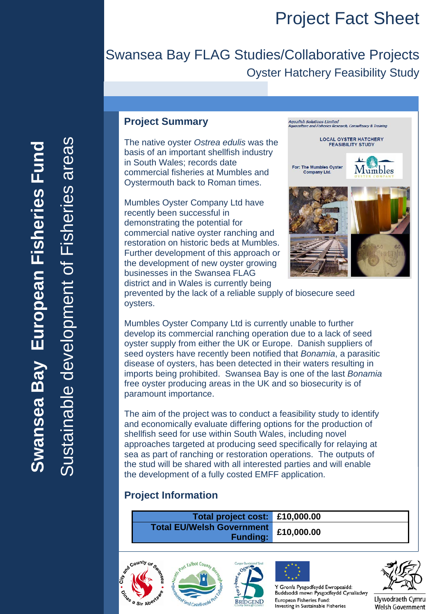## Swansea Bay FLAG Studies/Collaborative Projects Oyster Hatchery Feasibility Study

# ustainable development of Fisheries areas Sustainable development of Fisheries areasSwansea Bay European Fisheries Fund **Swansea Bay European Fisheries Fund**

#### **Project Summary**

The native oyster *Ostrea edulis* was the basis of an important shellfish industry in South Wales; records date commercial fisheries at Mumbles and Oystermouth back to Roman times.

Mumbles Oyster Company Ltd have recently been successful in demonstrating the potential for commercial native oyster ranching and restoration on historic beds at Mumbles. Further development of this approach or the development of new oyster growing businesses in the Swansea FLAG district and in Wales is currently being



prevented by the lack of a reliable supply of biosecure seed oysters.

Mumbles Oyster Company Ltd is currently unable to further develop its commercial ranching operation due to a lack of seed oyster supply from either the UK or Europe. Danish suppliers of seed oysters have recently been notified that *Bonamia*, a parasitic disease of oysters, has been detected in their waters resulting in imports being prohibited. Swansea Bay is one of the last *Bonamia* free oyster producing areas in the UK and so biosecurity is of paramount importance.

The aim of the project was to conduct a feasibility study to identify and economically evaluate differing options for the production of shellfish seed for use within South Wales, including novel approaches targeted at producing seed specifically for relaying at sea as part of ranching or restoration operations. The outputs of the stud will be shared with all interested parties and will enable the development of a fully costed EMFF application.

#### **Project Information**

**Total project cost: £10,000.00 Total EU/Welsh Government Funding: £10,000.00**









Y Gronfa Pysgodfeydd Ewropeaidd: Buddsoddi mewn Pysgodfeydd Cynaliadwy European Fisheries Fund: Investing in Sustainable Fisheries

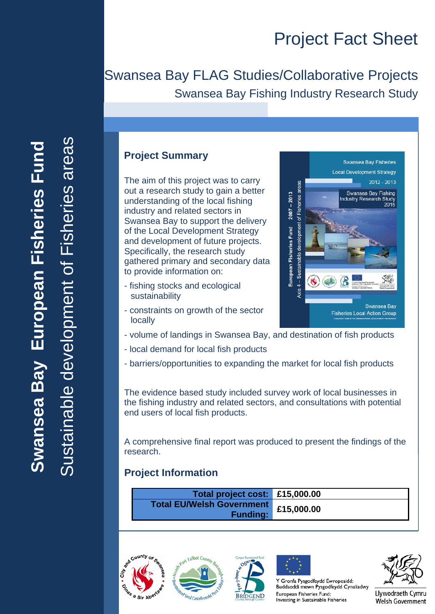## Swansea Bay FLAG Studies/Collaborative Projects Swansea Bay Fishing Industry Research Study

# nable development of Fisheries areas Sustainable development of Fisheries areasSwansea Bay European Fisheries Fund **Swansea Bay European Fisheries Fund**

#### **Project Summary**

The aim of this project was to carry out a research study to gain a better understanding of the local fishing industry and related sectors in Swansea Bay to support the delivery of the Local Development Strategy and development of future projects. Specifically, the research study gathered primary and secondary data to provide information on:

- fishing stocks and ecological sustainability
- constraints on growth of the sector locally
- volume of landings in Swansea Bay, and destination of fish products
- local demand for local fish products
- barriers/opportunities to expanding the market for local fish products

The evidence based study included survey work of local businesses in the fishing industry and related sectors, and consultations with potential end users of local fish products.

A comprehensive final report was produced to present the findings of the research.

#### **Project Information**

| Total project cost: £15,000.00                      |            |
|-----------------------------------------------------|------------|
| <b>Total EU/Welsh Government</b><br><b>Funding:</b> | £15,000.00 |









Y Gronfa Pysgodfeydd Ewropeaidd: Buddsoddi mewn Pysgodfeydd Cynaliadwy European Fisheries Fund: Investing in Sustainable Fisheries